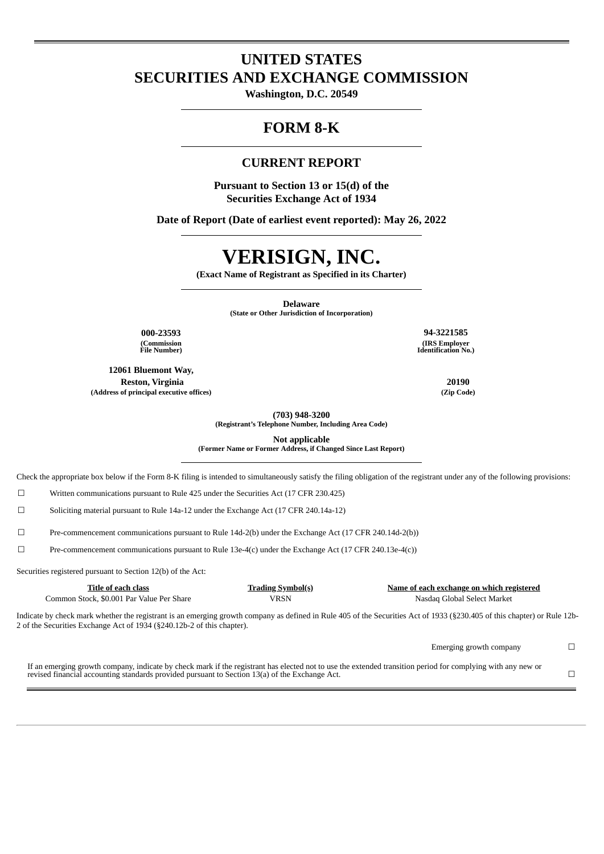# **UNITED STATES SECURITIES AND EXCHANGE COMMISSION**

**Washington, D.C. 20549**

## **FORM 8-K**

## **CURRENT REPORT**

**Pursuant to Section 13 or 15(d) of the Securities Exchange Act of 1934**

**Date of Report (Date of earliest event reported): May 26, 2022**

# **VERISIGN, INC.**

**(Exact Name of Registrant as Specified in its Charter)**

**Delaware**

**(State or Other Jurisdiction of Incorporation)**

**(Commission File Number)**

**12061 Bluemont Way, Reston, Virginia 20190 (Address of principal executive offices) (Zip Code)**

**000-23593 94-3221585 (IRS Employer Identification No.)**

**(703) 948-3200 (Registrant's Telephone Number, Including Area Code)**

**Not applicable**

**(Former Name or Former Address, if Changed Since Last Report)**

Check the appropriate box below if the Form 8-K filing is intended to simultaneously satisfy the filing obligation of the registrant under any of the following provisions:

☐ Written communications pursuant to Rule 425 under the Securities Act (17 CFR 230.425)

☐ Soliciting material pursuant to Rule 14a-12 under the Exchange Act (17 CFR 240.14a-12)

☐ Pre-commencement communications pursuant to Rule 14d-2(b) under the Exchange Act (17 CFR 240.14d-2(b))

☐ Pre-commencement communications pursuant to Rule 13e-4(c) under the Exchange Act (17 CFR 240.13e-4(c))

Securities registered pursuant to Section 12(b) of the Act:

**Title of each class Trading Symbol(s) Name of each exchange on which registered** 

Common Stock, \$0.001 Par Value Per Share VRSN Nasdaq Global Select Market

Emerging growth company  $\Box$ 

If an emerging growth company, indicate by check mark if the registrant has elected not to use the extended transition period for complying with any new or revised financial accounting standards provided pursuant to Section 13(a) of the Exchange Act.  $\Box$ 

Indicate by check mark whether the registrant is an emerging growth company as defined in Rule 405 of the Securities Act of 1933 (§230.405 of this chapter) or Rule 12b-2 of the Securities Exchange Act of 1934 (§240.12b-2 of this chapter).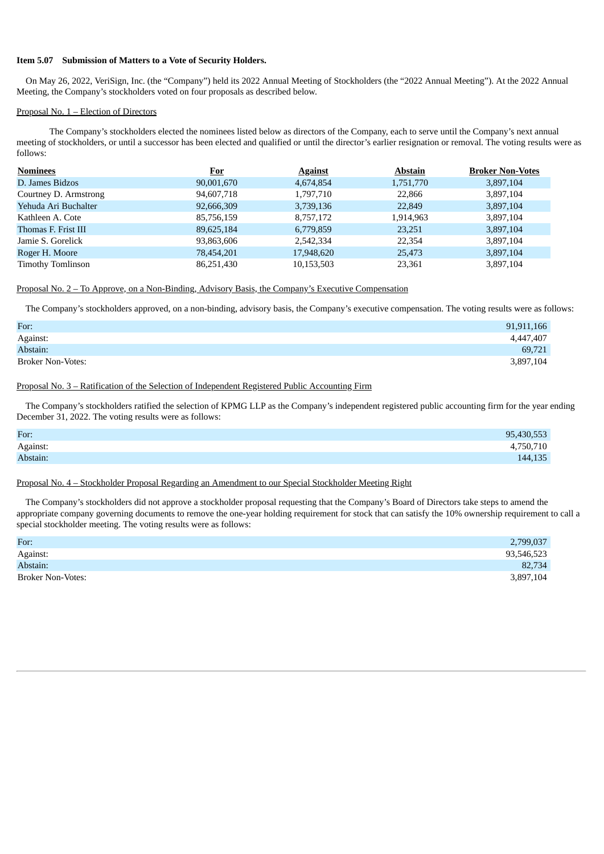#### **Item 5.07 Submission of Matters to a Vote of Security Holders.**

On May 26, 2022, VeriSign, Inc. (the "Company") held its 2022 Annual Meeting of Stockholders (the "2022 Annual Meeting"). At the 2022 Annual Meeting, the Company's stockholders voted on four proposals as described below.

#### Proposal No. 1 – Election of Directors

The Company's stockholders elected the nominees listed below as directors of the Company, each to serve until the Company's next annual meeting of stockholders, or until a successor has been elected and qualified or until the director's earlier resignation or removal. The voting results were as follows:

| <b>Nominees</b>          | <b>For</b> | <b>Against</b> | <b>Abstain</b> | <b>Broker Non-Votes</b> |
|--------------------------|------------|----------------|----------------|-------------------------|
| D. James Bidzos          | 90,001,670 | 4,674,854      | 1,751,770      | 3,897,104               |
| Courtney D. Armstrong    | 94,607,718 | 1,797,710      | 22,866         | 3,897,104               |
| Yehuda Ari Buchalter     | 92,666,309 | 3,739,136      | 22,849         | 3,897,104               |
| Kathleen A. Cote         | 85,756,159 | 8,757,172      | 1,914,963      | 3,897,104               |
| Thomas F. Frist III      | 89,625,184 | 6,779,859      | 23,251         | 3,897,104               |
| Jamie S. Gorelick        | 93,863,606 | 2,542,334      | 22,354         | 3,897,104               |
| Roger H. Moore           | 78,454,201 | 17,948,620     | 25,473         | 3,897,104               |
| <b>Timothy Tomlinson</b> | 86,251,430 | 10,153,503     | 23,361         | 3,897,104               |

#### Proposal No. 2 – To Approve, on a Non-Binding, Advisory Basis, the Company's Executive Compensation

The Company's stockholders approved, on a non-binding, advisory basis, the Company's executive compensation. The voting results were as follows:

| For:              | 91,911,166 |
|-------------------|------------|
| Against:          | 4,447,407  |
| Abstain:          | 69,721     |
| Broker Non-Votes: | 3,897,104  |

#### Proposal No. 3 – Ratification of the Selection of Independent Registered Public Accounting Firm

The Company's stockholders ratified the selection of KPMG LLP as the Company's independent registered public accounting firm for the year ending December 31, 2022. The voting results were as follows:

| For:     | 95,430,553 |
|----------|------------|
| Against: | 4,750,710  |
| Abstain: | 144,135    |

#### Proposal No. 4 – Stockholder Proposal Regarding an Amendment to our Special Stockholder Meeting Right

The Company's stockholders did not approve a stockholder proposal requesting that the Company's Board of Directors take steps to amend the appropriate company governing documents to remove the one-year holding requirement for stock that can satisfy the 10% ownership requirement to call a special stockholder meeting. The voting results were as follows:

| For:                     | 2,799,037  |
|--------------------------|------------|
| Against:                 | 93,546,523 |
| Abstain:                 | 82,734     |
| <b>Broker Non-Votes:</b> | 3,897,104  |